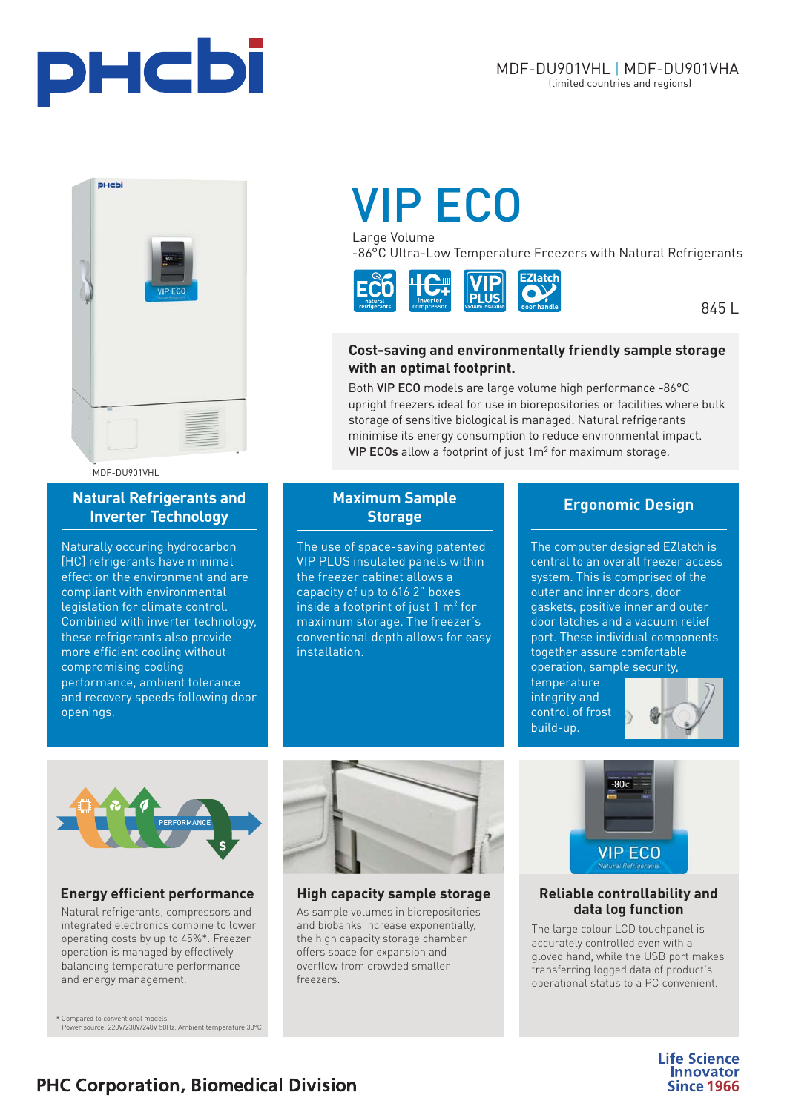



MDF-DU901VHL

### **Natural Refrigerants and Inverter Technology**

Naturally occuring hydrocarbon [HC] refrigerants have minimal effect on the environment and are compliant with environmental legislation for climate control. Combined with inverter technology, these refrigerants also provide more efficient cooling without compromising cooling performance, ambient tolerance and recovery speeds following door openings.

# [VIP ECO](https://www.phchd.com/global/biomedical/preservation/ultra-low-freezers/VIP-ECO-ULT-freezers)

Large Volume

-86°C Ultra-Low Temperature Freezers with Natural Refrigerants



845 L

#### **Cost-saving and environmentally friendly sample storage with an optimal footprint.**

Both VIP ECO models are large volume high performance -86°C upright freezers ideal for use in biorepositories or facilities where bulk storage of sensitive biological is managed. Natural refrigerants minimise its energy consumption to reduce environmental impact. VIP ECOs allow a footprint of just 1m2 for maximum storage.

## **Maximum Sample Storage**

The use of space-saving patented VIP PLUS insulated panels within the freezer cabinet allows a capacity of up to 616 2" boxes inside a footprint of just  $1 m<sup>2</sup>$  for maximum storage. The freezer's conventional depth allows for easy installation.

## **Ergonomic Design**

The computer designed EZlatch is central to an overall freezer access system. This is comprised of the outer and inner doors, door gaskets, positive inner and outer door latches and a vacuum relief port. These individual components together assure comfortable operation, sample security,

temperature integrity and control of frost build-up.





# **Energy efficient performance and High capacity sample storage and all Reliable controllability and**

integrated electronics combine to lower operating costs by up to 45%\*. Freezer operation is managed by effectively balancing temperature performance and energy management.

\* Compared to conventional models. Power source: 220V/230V/240V 50Hz, Ambient temperature 30°C



Natural refrigerants, compressors and **data log function** As sample volumes in biorepositories **data log function** As sample volumes in biorepositories and biobanks increase exponentially, the high capacity storage chamber offers space for expansion and

overflow from crowded smaller

freezers.



The large colour LCD touchpanel is accurately controlled even with a gloved hand, while the USB port makes transferring logged data of product's operational status to a PC convenient.

> **Life Science Innovator Since 1966**

# **PHC Corporation, Biomedical Division**